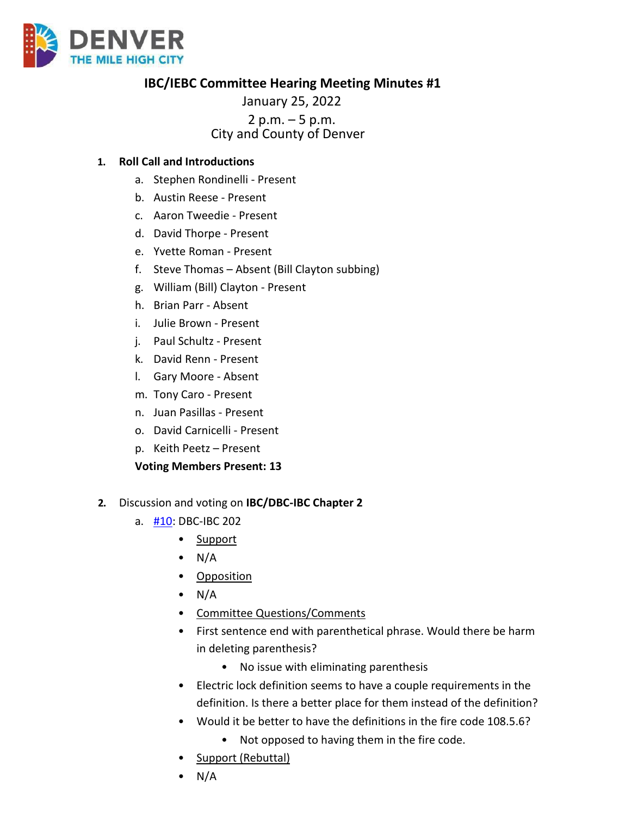

# **IBC/IEBC Committee Hearing Meeting Minutes #1**

January 25, 2022 2 p.m.  $-5$  p.m.<br>City and County of Denver

#### **1. Roll Call and Introductions**

- a. Stephen Rondinelli Present
- b. Austin Reese Present
- c. Aaron Tweedie Present
- d. David Thorpe Present
- e. Yvette Roman Present
- f. Steve Thomas Absent (Bill Clayton subbing)
- g. William (Bill) Clayton Present
- h. Brian Parr Absent
- i. Julie Brown Present
- j. Paul Schultz Present
- k. David Renn Present
- l. Gary Moore Absent
- m. Tony Caro Present
- n. Juan Pasillas Present
- o. David Carnicelli Present
- p. Keith Peetz Present

**Voting Members Present: 13**

#### **2.** Discussion and voting on **IBC/DBC-IBC Chapter 2**

- a. [#10:](https://www.denvergov.org/files/assets/public/community-planning-and-development/documents/ds/building-codes/code-adoption/amendment-proposals/ibc/ibc_dbca_202.pdf) DBC-IBC 202
	- Support
		- $\bullet$  N/A
		- Opposition
	- $\bullet$  N/A
	- Committee Questions/Comments
	- First sentence end with parenthetical phrase. Would there be harm in deleting parenthesis?
		- No issue with eliminating parenthesis
	- Electric lock definition seems to have a couple requirements in the definition. Is there a better place for them instead of the definition?
	- Would it be better to have the definitions in the fire code 108.5.6?
		- Not opposed to having them in the fire code.
	- Support (Rebuttal)
	- $\bullet$  N/A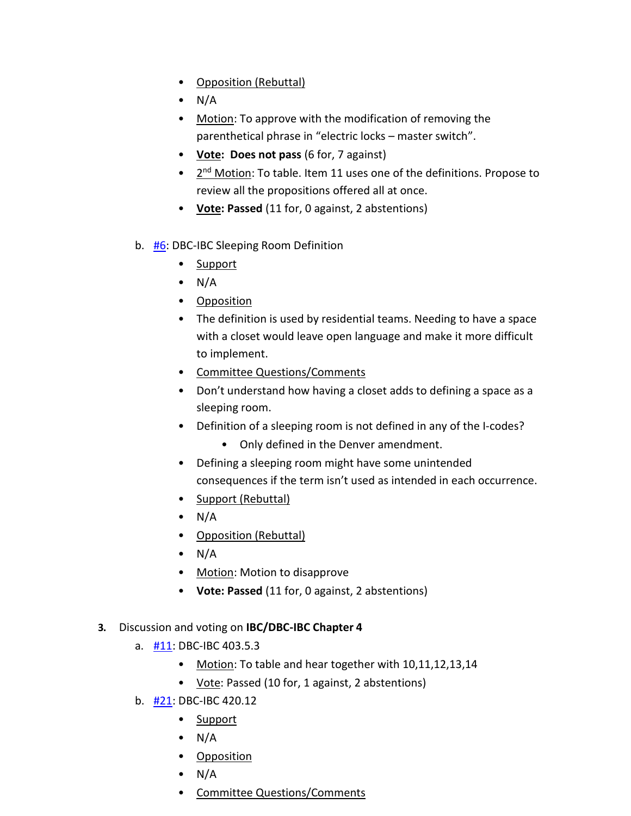- Opposition (Rebuttal)
- $\bullet$  N/A
- Motion: To approve with the modification of removing the parenthetical phrase in "electric locks – master switch".
- **Vote: Does not pass** (6 for, 7 against)
- 2<sup>nd</sup> Motion: To table. Item 11 uses one of the definitions. Propose to review all the propositions offered all at once.
- **Vote: Passed** (11 for, 0 against, 2 abstentions)
- b. [#6:](https://www.denvergov.org/files/assets/public/community-planning-and-development/documents/ds/building-codes/code-adoption/amendment-proposals/ibc/ibc_sleeping_room_definition.pdf) DBC-IBC Sleeping Room Definition
	- Support
	- $\bullet$  N/A
	- Opposition
	- The definition is used by residential teams. Needing to have a space with a closet would leave open language and make it more difficult to implement.
	- Committee Questions/Comments
	- Don't understand how having a closet adds to defining a space as a sleeping room.
	- Definition of a sleeping room is not defined in any of the I-codes?
		- Only defined in the Denver amendment.
	- Defining a sleeping room might have some unintended consequences if the term isn't used as intended in each occurrence.
	- Support (Rebuttal)
	- $\bullet$  N/A
	- Opposition (Rebuttal)
	- $\bullet$  N/A
	- Motion: Motion to disapprove
	- **Vote: Passed** (11 for, 0 against, 2 abstentions)

## **3.** Discussion and voting on **IBC/DBC-IBC Chapter 4**

- a. [#11:](https://www.denvergov.org/files/assets/public/community-planning-and-development/documents/ds/building-codes/code-adoption/amendment-proposals/ibc/ibc_403.5.3.pdf) DBC-IBC 403.5.3
	- Motion: To table and hear together with 10,11,12,13,14
	- Vote: Passed (10 for, 1 against, 2 abstentions)
- b. [#21:](https://www.denvergov.org/files/assets/public/community-planning-and-development/documents/ds/building-codes/code-adoption/amendment-proposals/ibc/ibc_420.12.pdf) DBC-IBC 420.12
	- Support
	- $\bullet$  N/A
	- Opposition
	- $\bullet$  N/A
	- Committee Questions/Comments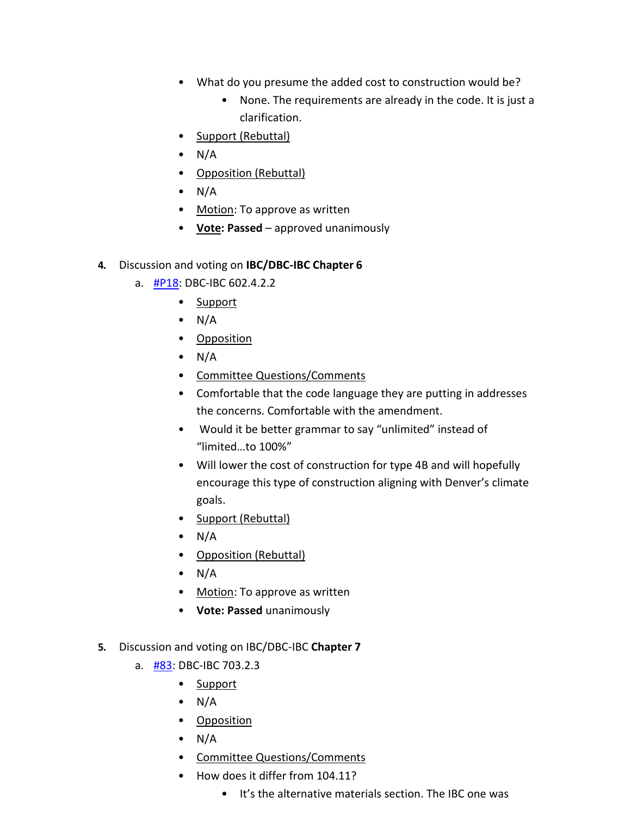- What do you presume the added cost to construction would be?
	- None. The requirements are already in the code. It is just a clarification.
- Support (Rebuttal)
- $\bullet$  N/A
- Opposition (Rebuttal)
- $\bullet$  N/A
- Motion: To approve as written
- **Vote: Passed** approved unanimously

## **4.** Discussion and voting on **IBC/DBC-IBC Chapter 6**

- a. **[#P18:](https://www.denvergov.org/files/assets/public/community-planning-and-development/documents/ds/building-codes/code-adoption/amendment-proposals/ibc/ibc_602.4.2.2.2_602.4.2.2.4.pdf) DBC-IBC 602.4.2.2** 
	- Support
	- $\bullet$  N/A
	- Opposition
	- $\bullet$  N/A
	- Committee Questions/Comments
	- Comfortable that the code language they are putting in addresses the concerns. Comfortable with the amendment.
	- Would it be better grammar to say "unlimited" instead of "limited…to 100%"
	- Will lower the cost of construction for type 4B and will hopefully encourage this type of construction aligning with Denver's climate goals.
	- Support (Rebuttal)
	- $\bullet$  N/A
	- Opposition (Rebuttal)
	- $\bullet$  N/A
	- Motion: To approve as written
	- **Vote: Passed** unanimously

## **5.** Discussion and voting on IBC/DBC-IBC **Chapter 7**

- a. [#83:](https://www.denvergov.org/files/assets/public/community-planning-and-development/documents/ds/building-codes/code-adoption/amendment-proposals/ibc/ibc_703.2.3.pdf) DBC-IBC 703.2.3
	- Support
	- $\bullet$  N/A
	- Opposition
	- $\bullet$  N/A
	- Committee Questions/Comments
	- How does it differ from 104.11?
		- It's the alternative materials section. The IBC one was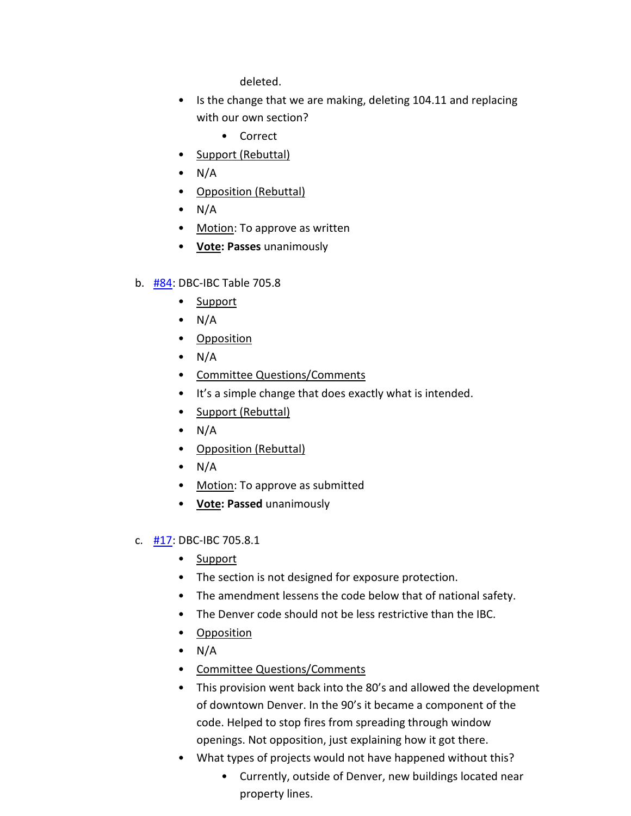deleted.

- Is the change that we are making, deleting 104.11 and replacing with our own section?
	- Correct
- Support (Rebuttal)
- $\bullet$  N/A
- Opposition (Rebuttal)
- $\bullet$  N/A
- Motion: To approve as written
- **Vote: Passes** unanimously
- b. [#84:](https://www.denvergov.org/files/assets/public/community-planning-and-development/documents/ds/building-codes/code-adoption/amendment-proposals/ibc/ibc_table_705.8.pdf) DBC-IBC Table 705.8
	- Support
	- $\bullet$  N/A
	- Opposition
	- $\bullet$  N/A
	- Committee Questions/Comments
	- It's a simple change that does exactly what is intended.
	- Support (Rebuttal)
	- $\bullet$  N/A
	- Opposition (Rebuttal)
	- $\bullet$  N/A
	- Motion: To approve as submitted
	- **Vote: Passed** unanimously
- c. [#17:](https://www.denvergov.org/files/assets/public/community-planning-and-development/documents/ds/building-codes/code-adoption/amendment-proposals/ibc/ibc_705.8.1.pdf) DBC-IBC 705.8.1
	- Support
	- The section is not designed for exposure protection.
	- The amendment lessens the code below that of national safety.
	- The Denver code should not be less restrictive than the IBC.
	- Opposition
	- $\bullet$  N/A
	- Committee Questions/Comments
	- This provision went back into the 80's and allowed the development of downtown Denver. In the 90's it became a component of the code. Helped to stop fires from spreading through window openings. Not opposition, just explaining how it got there.
	- What types of projects would not have happened without this?
		- Currently, outside of Denver, new buildings located near property lines.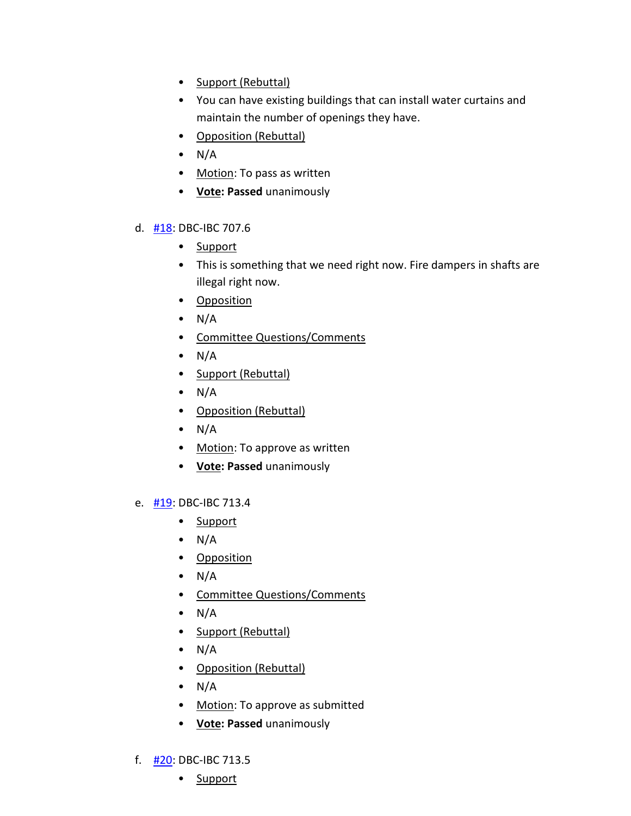- Support (Rebuttal)
- You can have existing buildings that can install water curtains and maintain the number of openings they have.
- Opposition (Rebuttal)
- $\bullet$  N/A
- Motion: To pass as written
- **Vote: Passed** unanimously
- d. [#18:](https://www.denvergov.org/files/assets/public/community-planning-and-development/documents/ds/building-codes/code-adoption/amendment-proposals/ibc/ibc_707.6.pdf) DBC-IBC 707.6
	- Support
	- This is something that we need right now. Fire dampers in shafts are illegal right now.
	- Opposition
	- $\bullet$  N/A
	- Committee Questions/Comments
	- $\bullet$  N/A
	- Support (Rebuttal)
	- N/A
	- Opposition (Rebuttal)
	- $\bullet$  N/A
	- Motion: To approve as written
	- **Vote: Passed** unanimously
- e. [#19:](https://www.denvergov.org/files/assets/public/community-planning-and-development/documents/ds/building-codes/code-adoption/amendment-proposals/ibc/ibc_713.4.pdf) DBC-IBC 713.4
	- Support
	- $\bullet$  N/A
	- Opposition
	- $\bullet$  N/A
	- Committee Questions/Comments
	- $\bullet$  N/A
	- Support (Rebuttal)
	- $\bullet$  N/A
	- Opposition (Rebuttal)
	- $\bullet$  N/A
	- Motion: To approve as submitted
	- **Vote: Passed** unanimously
- f. [#20:](https://www.denvergov.org/files/assets/public/community-planning-and-development/documents/ds/building-codes/code-adoption/amendment-proposals/ibc/ibc_713.5.pdf) DBC-IBC 713.5
	- Support